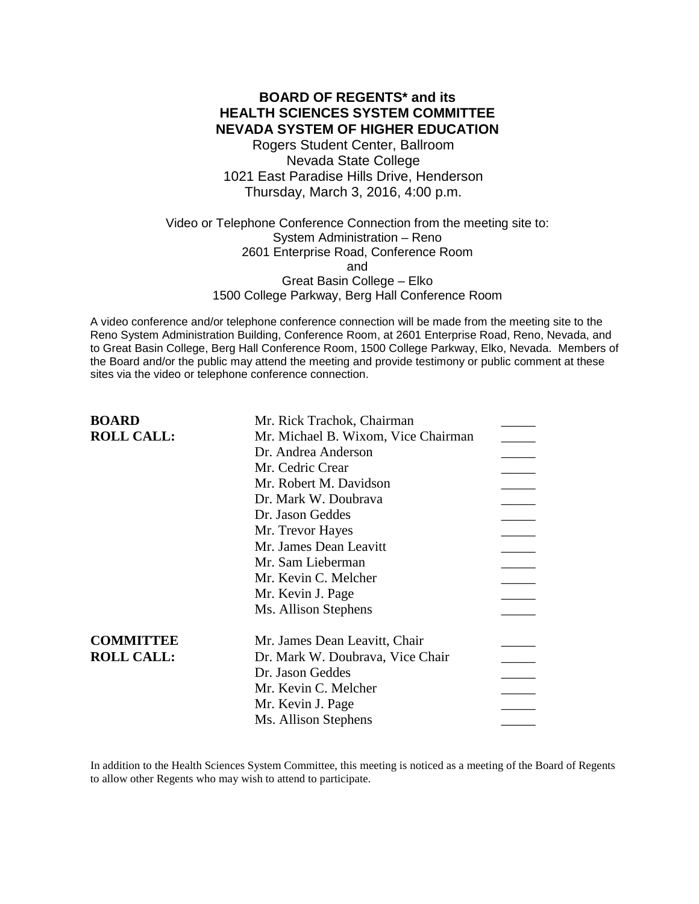# **BOARD OF REGENTS\* and its HEALTH SCIENCES SYSTEM COMMITTEE NEVADA SYSTEM OF HIGHER EDUCATION**

Rogers Student Center, Ballroom Nevada State College 1021 East Paradise Hills Drive, Henderson Thursday, March 3, 2016, 4:00 p.m.

Video or Telephone Conference Connection from the meeting site to: System Administration – Reno 2601 Enterprise Road, Conference Room and Great Basin College – Elko 1500 College Parkway, Berg Hall Conference Room

A video conference and/or telephone conference connection will be made from the meeting site to the Reno System Administration Building, Conference Room, at 2601 Enterprise Road, Reno, Nevada, and to Great Basin College, Berg Hall Conference Room, 1500 College Parkway, Elko, Nevada. Members of the Board and/or the public may attend the meeting and provide testimony or public comment at these sites via the video or telephone conference connection.

| <b>BOARD</b>      | Mr. Rick Trachok, Chairman          |  |
|-------------------|-------------------------------------|--|
| <b>ROLL CALL:</b> | Mr. Michael B. Wixom, Vice Chairman |  |
|                   | Dr. Andrea Anderson                 |  |
|                   | Mr. Cedric Crear                    |  |
|                   | Mr. Robert M. Davidson              |  |
|                   | Dr. Mark W. Doubrava                |  |
|                   | Dr. Jason Geddes                    |  |
|                   | Mr. Trevor Hayes                    |  |
|                   | Mr. James Dean Leavitt              |  |
|                   | Mr. Sam Lieberman                   |  |
|                   | Mr. Kevin C. Melcher                |  |
|                   | Mr. Kevin J. Page                   |  |
|                   | Ms. Allison Stephens                |  |
| <b>COMMITTEE</b>  | Mr. James Dean Leavitt, Chair       |  |
| <b>ROLL CALL:</b> | Dr. Mark W. Doubrava, Vice Chair    |  |
|                   | Dr. Jason Geddes                    |  |
|                   | Mr. Kevin C. Melcher                |  |
|                   | Mr. Kevin J. Page                   |  |
|                   | Ms. Allison Stephens                |  |

In addition to the Health Sciences System Committee, this meeting is noticed as a meeting of the Board of Regents to allow other Regents who may wish to attend to participate.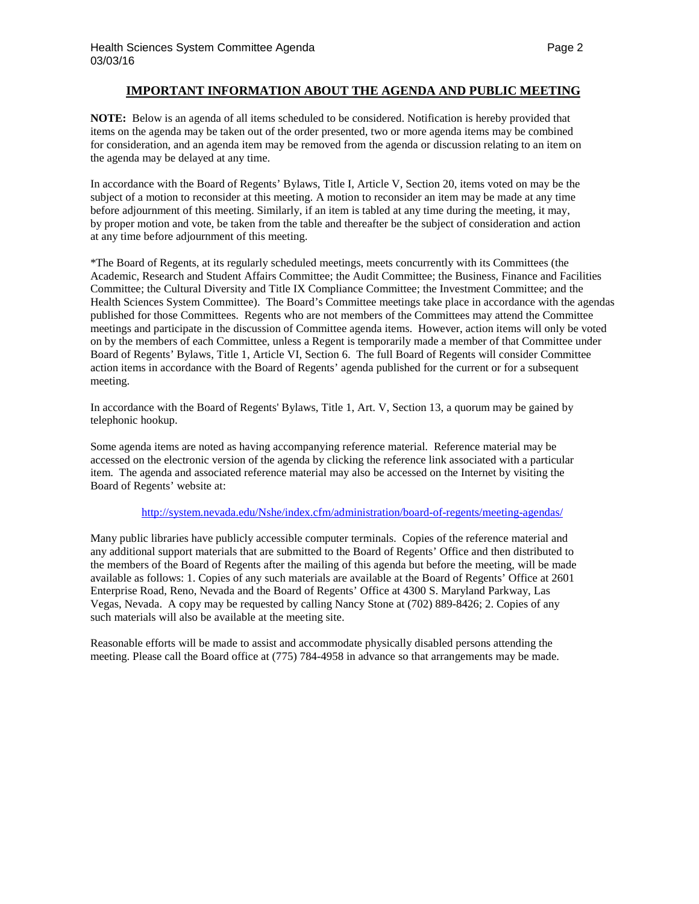### **IMPORTANT INFORMATION ABOUT THE AGENDA AND PUBLIC MEETING**

**NOTE:** Below is an agenda of all items scheduled to be considered. Notification is hereby provided that items on the agenda may be taken out of the order presented, two or more agenda items may be combined for consideration, and an agenda item may be removed from the agenda or discussion relating to an item on the agenda may be delayed at any time.

In accordance with the Board of Regents' Bylaws, Title I, Article V, Section 20, items voted on may be the subject of a motion to reconsider at this meeting. A motion to reconsider an item may be made at any time before adjournment of this meeting. Similarly, if an item is tabled at any time during the meeting, it may, by proper motion and vote, be taken from the table and thereafter be the subject of consideration and action at any time before adjournment of this meeting.

\*The Board of Regents, at its regularly scheduled meetings, meets concurrently with its Committees (the Academic, Research and Student Affairs Committee; the Audit Committee; the Business, Finance and Facilities Committee; the Cultural Diversity and Title IX Compliance Committee; the Investment Committee; and the Health Sciences System Committee). The Board's Committee meetings take place in accordance with the agendas published for those Committees. Regents who are not members of the Committees may attend the Committee meetings and participate in the discussion of Committee agenda items. However, action items will only be voted on by the members of each Committee, unless a Regent is temporarily made a member of that Committee under Board of Regents' Bylaws, Title 1, Article VI, Section 6. The full Board of Regents will consider Committee action items in accordance with the Board of Regents' agenda published for the current or for a subsequent meeting.

In accordance with the Board of Regents' Bylaws, Title 1, Art. V, Section 13, a quorum may be gained by telephonic hookup.

Some agenda items are noted as having accompanying reference material. Reference material may be accessed on the electronic version of the agenda by clicking the reference link associated with a particular item. The agenda and associated reference material may also be accessed on the Internet by visiting the Board of Regents' website at:

### <http://system.nevada.edu/Nshe/index.cfm/administration/board-of-regents/meeting-agendas/>

Many public libraries have publicly accessible computer terminals. Copies of the reference material and any additional support materials that are submitted to the Board of Regents' Office and then distributed to the members of the Board of Regents after the mailing of this agenda but before the meeting, will be made available as follows: 1. Copies of any such materials are available at the Board of Regents' Office at 2601 Enterprise Road, Reno, Nevada and the Board of Regents' Office at 4300 S. Maryland Parkway, Las Vegas, Nevada. A copy may be requested by calling Nancy Stone at (702) 889-8426; 2. Copies of any such materials will also be available at the meeting site.

Reasonable efforts will be made to assist and accommodate physically disabled persons attending the meeting. Please call the Board office at (775) 784-4958 in advance so that arrangements may be made.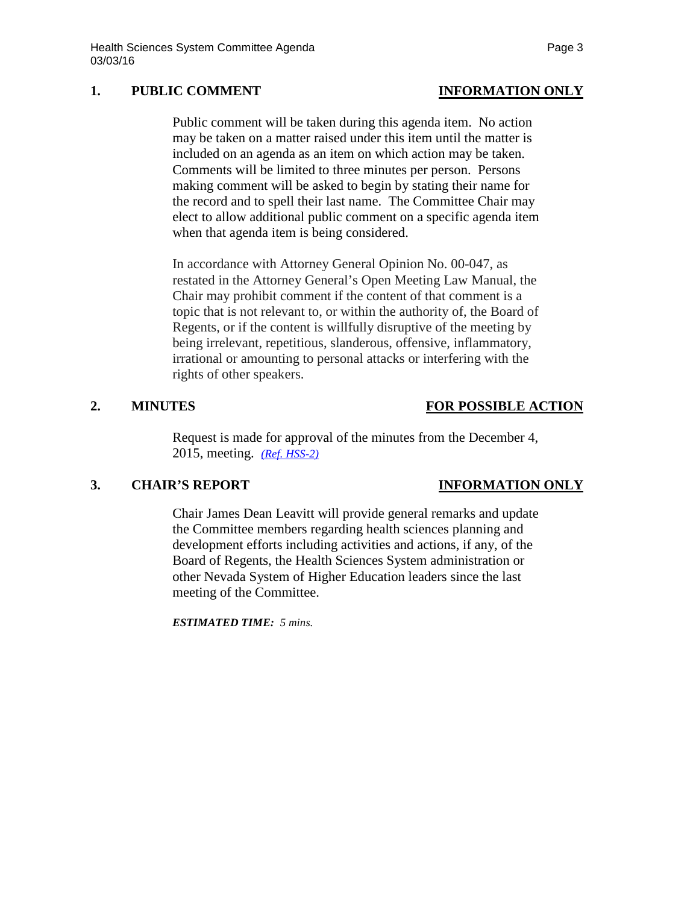### **1. PUBLIC COMMENT INFORMATION ONLY**

Public comment will be taken during this agenda item. No action may be taken on a matter raised under this item until the matter is included on an agenda as an item on which action may be taken. Comments will be limited to three minutes per person. Persons making comment will be asked to begin by stating their name for the record and to spell their last name. The Committee Chair may elect to allow additional public comment on a specific agenda item when that agenda item is being considered.

In accordance with Attorney General Opinion No. 00-047, as restated in the Attorney General's Open Meeting Law Manual, the Chair may prohibit comment if the content of that comment is a topic that is not relevant to, or within the authority of, the Board of Regents, or if the content is willfully disruptive of the meeting by being irrelevant, repetitious, slanderous, offensive, inflammatory, irrational or amounting to personal attacks or interfering with the rights of other speakers.

### **2. MINUTES FOR POSSIBLE ACTION**

Request is made for approval of the minutes from the December 4, 2015, meeting. *[\(Ref. HSS-2\)](http://system.nevada.edu/tasks/sites/Nshe/assets/File/BoardOfRegents/Agendas/2016/mar-mtgs/hss-refs/HSS-2.pdf)*

### **3. CHAIR'S REPORT INFORMATION ONLY**

Chair James Dean Leavitt will provide general remarks and update the Committee members regarding health sciences planning and development efforts including activities and actions, if any, of the Board of Regents, the Health Sciences System administration or other Nevada System of Higher Education leaders since the last meeting of the Committee.

*ESTIMATED TIME: 5 mins.*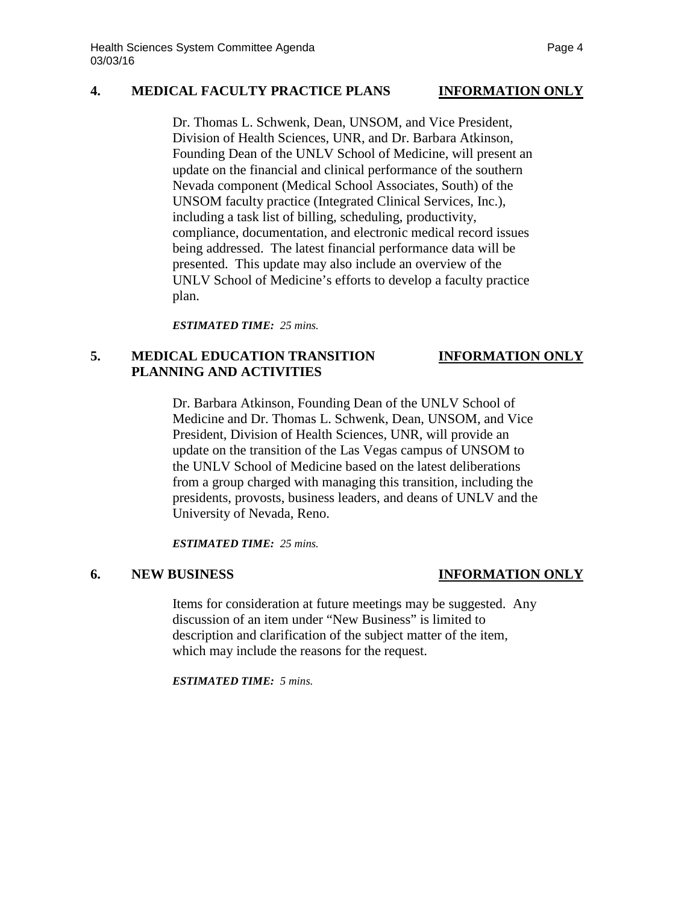### **4. MEDICAL FACULTY PRACTICE PLANS INFORMATION ONLY**

Dr. Thomas L. Schwenk, Dean, UNSOM, and Vice President, Division of Health Sciences, UNR, and Dr. Barbara Atkinson, Founding Dean of the UNLV School of Medicine, will present an update on the financial and clinical performance of the southern Nevada component (Medical School Associates, South) of the UNSOM faculty practice (Integrated Clinical Services, Inc.), including a task list of billing, scheduling, productivity, compliance, documentation, and electronic medical record issues being addressed. The latest financial performance data will be presented. This update may also include an overview of the UNLV School of Medicine's efforts to develop a faculty practice plan.

*ESTIMATED TIME: 25 mins.*

# **5. MEDICAL EDUCATION TRANSITION INFORMATION ONLY PLANNING AND ACTIVITIES**

Dr. Barbara Atkinson, Founding Dean of the UNLV School of Medicine and Dr. Thomas L. Schwenk, Dean, UNSOM, and Vice President, Division of Health Sciences, UNR, will provide an update on the transition of the Las Vegas campus of UNSOM to the UNLV School of Medicine based on the latest deliberations from a group charged with managing this transition, including the presidents, provosts, business leaders, and deans of UNLV and the University of Nevada, Reno.

*ESTIMATED TIME: 25 mins.*

### **6. NEW BUSINESS INFORMATION ONLY**

Items for consideration at future meetings may be suggested. Any discussion of an item under "New Business" is limited to description and clarification of the subject matter of the item, which may include the reasons for the request.

*ESTIMATED TIME: 5 mins.*